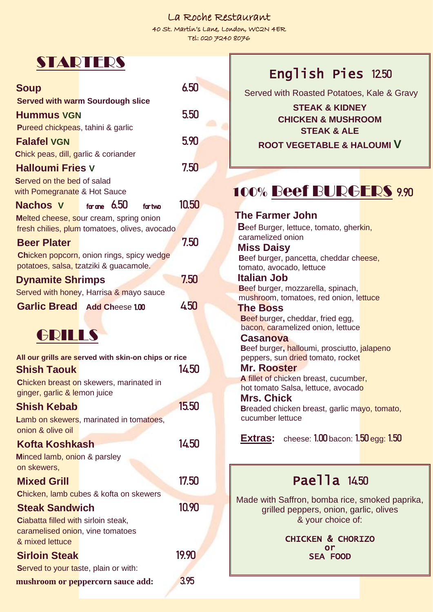#### La Roche Restaurant

40 St. Martin's Lane, London, WC2N 4ER Tel: 020 7240 8076

| <b>STARTERS</b>                                                                          |       |
|------------------------------------------------------------------------------------------|-------|
| <b>Soup</b>                                                                              | 6.50  |
| <b>Served with warm Sourdough slice</b>                                                  |       |
| <b>Hummus VGN</b>                                                                        | 5.50  |
| <b>Pureed chickpeas, tahini &amp; garlic</b>                                             |       |
| <b>Falafel VGN</b>                                                                       | 5.90  |
| Chick peas, dill, garlic & coriander                                                     |       |
| <b>Halloumi Fries V</b>                                                                  | 7.50  |
| Served on the bed of salad                                                               |       |
| with Pomegranate & Hot Sauce                                                             |       |
| for one $6.50$<br>Nachos V<br>for two                                                    | 10.50 |
| Melted cheese, sour cream, spring onion<br>fresh chilies, plum tomatoes, olives, avocado |       |
| <b>Beer Plater</b>                                                                       | 7.50  |
| <b>Chicken popcorn</b> , onion rings, spicy wedge                                        |       |
| potatoes, salsa, tzatziki & guacamole.                                                   |       |
| <b>Dynamite Shrimps</b>                                                                  | 7.50  |
| Served with honey, Harrisa & mayo sauce                                                  |       |
| <b>Garlic Bread Add Cheese 1.00</b>                                                      | 450   |
|                                                                                          |       |
| GRILLS                                                                                   |       |
| All our grills are served with skin-on chips or rice                                     |       |
|                                                                                          |       |
|                                                                                          |       |
| <b>Shish Taouk</b>                                                                       | 14.50 |
| Chicken breast on skewers, marinated in<br>ginger, garlic & lemon juice                  |       |
| <b>Shish Kebab</b>                                                                       | 15.50 |
| Lamb on skewers, marinated in tomatoes,                                                  |       |
| onion & olive oil                                                                        |       |
| Kofta Koshkash                                                                           | 14.50 |
| Minced lamb, onion & parsley                                                             |       |
| on skewers,                                                                              |       |
| <b>Mixed Grill</b>                                                                       | 17.50 |
| <b>Chicken, lamb cubes &amp; kofta on skewers</b>                                        | 10.90 |
| <b>Steak Sandwich</b><br><b>Ciabatta filled with sirloin steak,</b>                      |       |
| caramelised onion, vine tomatoes                                                         |       |
| & mixed lettuce                                                                          |       |
| <b>Sirloin Steak</b>                                                                     | 19.90 |
| <b>Served to your taste, plain or with:</b><br>mushroom or peppercorn sauce add:         | 3.95  |

# English Pies 12.50

Served with Roasted Potatoes, Kale & Gravy

**STEAK & KIDNEY CHICKEN & MUSHROOM STEAK & ALE**

**ROOT VEGETABLE & HALOUMI V**

# 100% Beef BURGERS 9.90

**The Farmer John Beef Burger, lettuce, tomato, gherkin,**  caramelized onion  **Miss Daisy Beef burger, pancetta, cheddar cheese,**  tomato, avocado, lettuce  **Italian Job B**eef burger, mozzarella, spinach, mushroom, tomatoes, red onion, lettuce  **The Boss B**eef burger**,** cheddar, fried egg, bacon, caramelized onion, lettuce  **Casanova B**eef burger**,** halloumi, prosciutto, jalapeno peppers, sun dried tomato, rocket  **Mr. Rooster A** fillet of chicken breast, cucumber, hot tomato Salsa, lettuce, avocado  **Mrs. Chick** **Breaded chicken breast, garlic mayo, tomato,**  cucumber lettuce **Extras:** cheese: 1.00 bacon: 1.50 egg: 1.50 Paella 1450 Made with Saffron, bomba rice, smoked paprika, grilled peppers, onion, garlic, olives & your choice of: CHICKEN & CHORIZO or

SEA FOOD